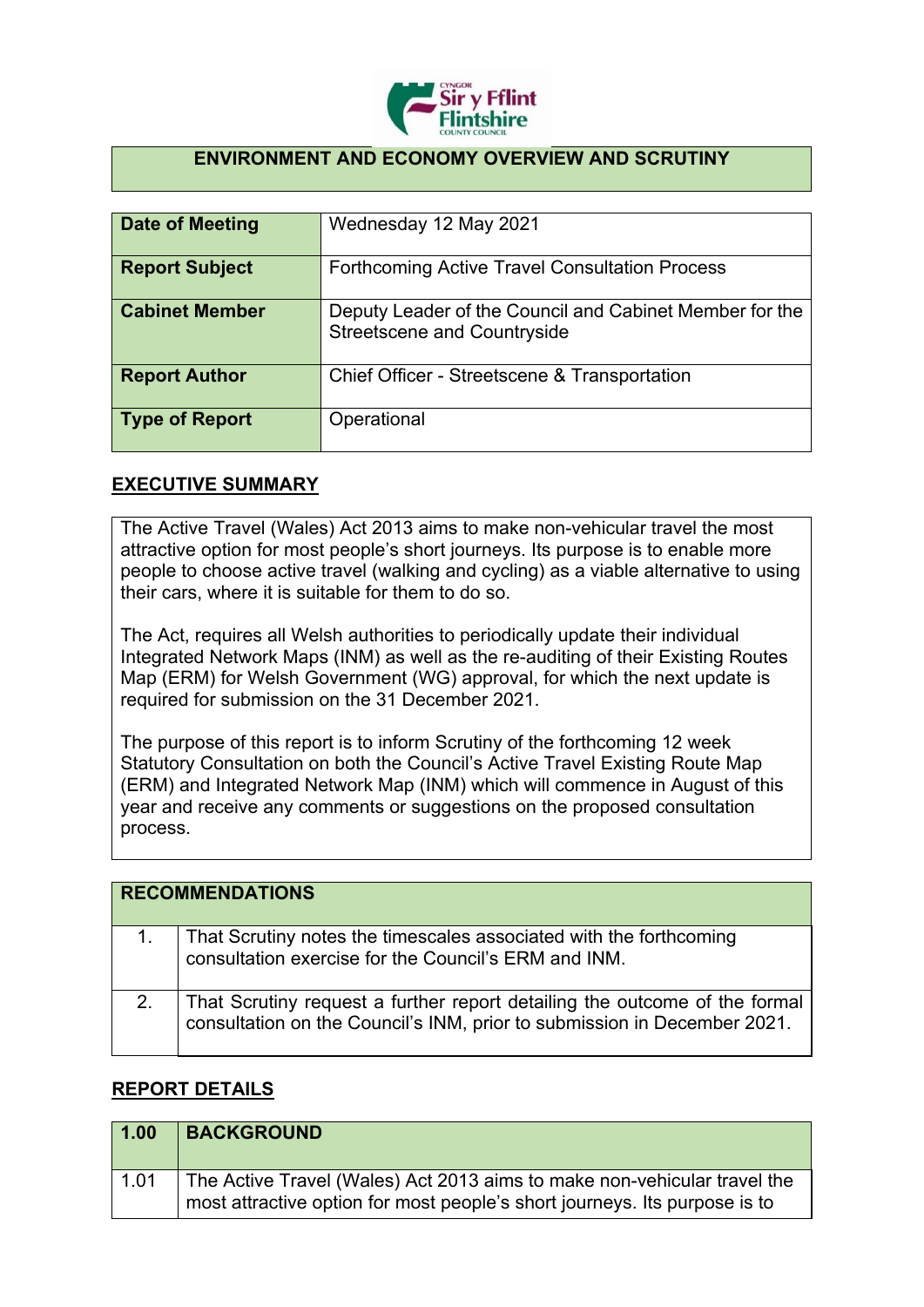

## **ENVIRONMENT AND ECONOMY OVERVIEW AND SCRUTINY**

| <b>Date of Meeting</b> | Wednesday 12 May 2021                                                                         |
|------------------------|-----------------------------------------------------------------------------------------------|
| <b>Report Subject</b>  | <b>Forthcoming Active Travel Consultation Process</b>                                         |
| <b>Cabinet Member</b>  | Deputy Leader of the Council and Cabinet Member for the<br><b>Streetscene and Countryside</b> |
| <b>Report Author</b>   | Chief Officer - Streetscene & Transportation                                                  |
| <b>Type of Report</b>  | Operational                                                                                   |

## **EXECUTIVE SUMMARY**

The Active Travel (Wales) Act 2013 aims to make non-vehicular travel the most attractive option for most people's short journeys. Its purpose is to enable more people to choose active travel (walking and cycling) as a viable alternative to using their cars, where it is suitable for them to do so.

The Act, requires all Welsh authorities to periodically update their individual Integrated Network Maps (INM) as well as the re-auditing of their Existing Routes Map (ERM) for Welsh Government (WG) approval, for which the next update is required for submission on the 31 December 2021.

The purpose of this report is to inform Scrutiny of the forthcoming 12 week Statutory Consultation on both the Council's Active Travel Existing Route Map (ERM) and Integrated Network Map (INM) which will commence in August of this year and receive any comments or suggestions on the proposed consultation process.

| <b>RECOMMENDATIONS</b>                                                                                                                                 |
|--------------------------------------------------------------------------------------------------------------------------------------------------------|
| That Scrutiny notes the timescales associated with the forthcoming<br>consultation exercise for the Council's ERM and INM.                             |
| That Scrutiny request a further report detailing the outcome of the formal<br>consultation on the Council's INM, prior to submission in December 2021. |

## **REPORT DETAILS**

| 1.00 | <b>BACKGROUND</b>                                                                                                                                      |
|------|--------------------------------------------------------------------------------------------------------------------------------------------------------|
| 1.01 | The Active Travel (Wales) Act 2013 aims to make non-vehicular travel the<br>most attractive option for most people's short journeys. Its purpose is to |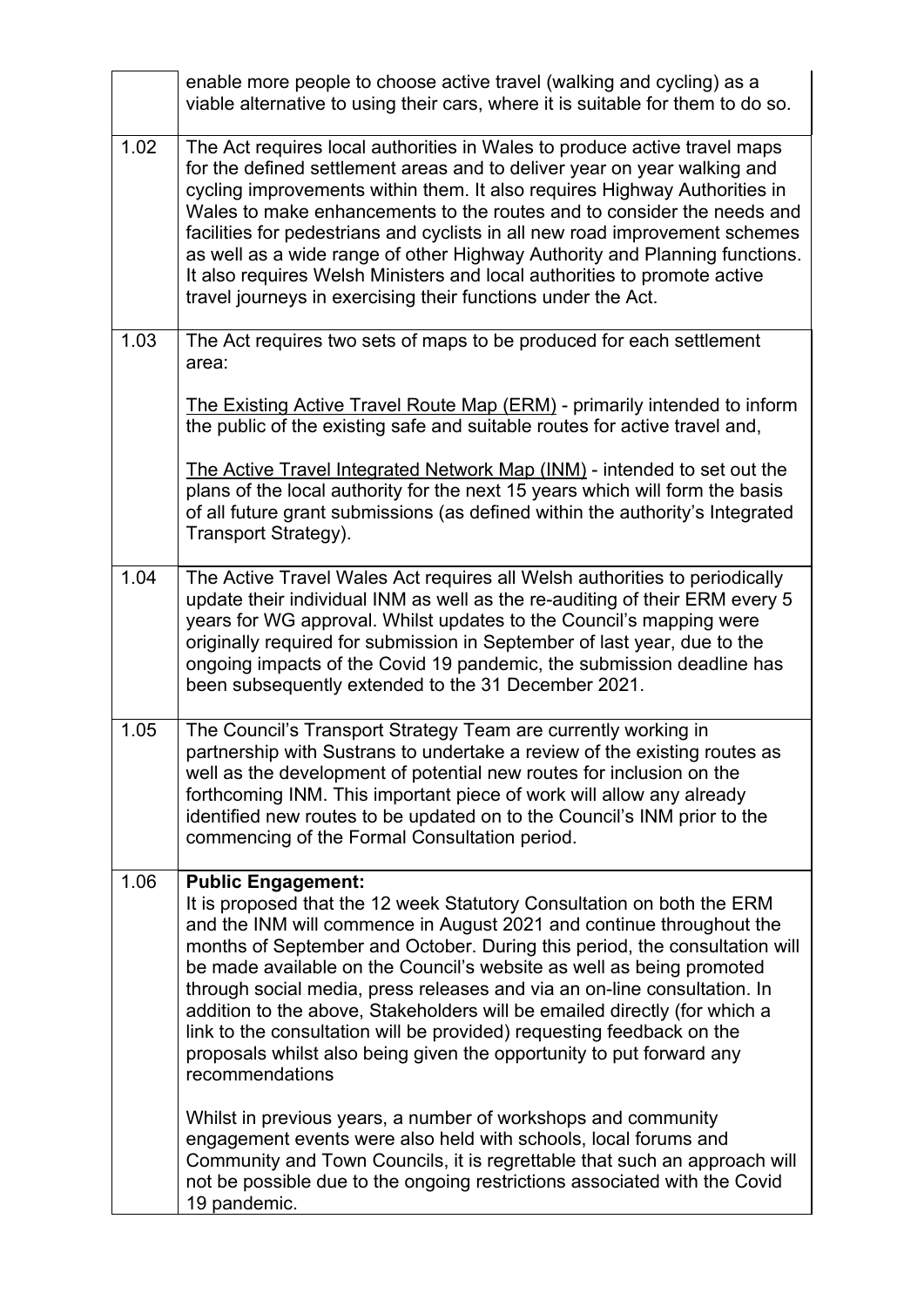|      | enable more people to choose active travel (walking and cycling) as a<br>viable alternative to using their cars, where it is suitable for them to do so.                                                                                                                                                                                                                                                                                                                                                                                                                                                                                                       |
|------|----------------------------------------------------------------------------------------------------------------------------------------------------------------------------------------------------------------------------------------------------------------------------------------------------------------------------------------------------------------------------------------------------------------------------------------------------------------------------------------------------------------------------------------------------------------------------------------------------------------------------------------------------------------|
| 1.02 | The Act requires local authorities in Wales to produce active travel maps<br>for the defined settlement areas and to deliver year on year walking and<br>cycling improvements within them. It also requires Highway Authorities in<br>Wales to make enhancements to the routes and to consider the needs and<br>facilities for pedestrians and cyclists in all new road improvement schemes<br>as well as a wide range of other Highway Authority and Planning functions.<br>It also requires Welsh Ministers and local authorities to promote active<br>travel journeys in exercising their functions under the Act.                                          |
| 1.03 | The Act requires two sets of maps to be produced for each settlement<br>area:                                                                                                                                                                                                                                                                                                                                                                                                                                                                                                                                                                                  |
|      | The Existing Active Travel Route Map (ERM) - primarily intended to inform<br>the public of the existing safe and suitable routes for active travel and,                                                                                                                                                                                                                                                                                                                                                                                                                                                                                                        |
|      | The Active Travel Integrated Network Map (INM) - intended to set out the<br>plans of the local authority for the next 15 years which will form the basis<br>of all future grant submissions (as defined within the authority's Integrated<br>Transport Strategy).                                                                                                                                                                                                                                                                                                                                                                                              |
| 1.04 | The Active Travel Wales Act requires all Welsh authorities to periodically<br>update their individual INM as well as the re-auditing of their ERM every 5<br>years for WG approval. Whilst updates to the Council's mapping were<br>originally required for submission in September of last year, due to the<br>ongoing impacts of the Covid 19 pandemic, the submission deadline has<br>been subsequently extended to the 31 December 2021.                                                                                                                                                                                                                   |
| 1.05 | The Council's Transport Strategy Team are currently working in<br>partnership with Sustrans to undertake a review of the existing routes as<br>well as the development of potential new routes for inclusion on the<br>forthcoming INM. This important piece of work will allow any already<br>identified new routes to be updated on to the Council's INM prior to the<br>commencing of the Formal Consultation period.                                                                                                                                                                                                                                       |
| 1.06 | <b>Public Engagement:</b><br>It is proposed that the 12 week Statutory Consultation on both the ERM<br>and the INM will commence in August 2021 and continue throughout the<br>months of September and October. During this period, the consultation will<br>be made available on the Council's website as well as being promoted<br>through social media, press releases and via an on-line consultation. In<br>addition to the above, Stakeholders will be emailed directly (for which a<br>link to the consultation will be provided) requesting feedback on the<br>proposals whilst also being given the opportunity to put forward any<br>recommendations |
|      | Whilst in previous years, a number of workshops and community<br>engagement events were also held with schools, local forums and<br>Community and Town Councils, it is regrettable that such an approach will<br>not be possible due to the ongoing restrictions associated with the Covid<br>19 pandemic.                                                                                                                                                                                                                                                                                                                                                     |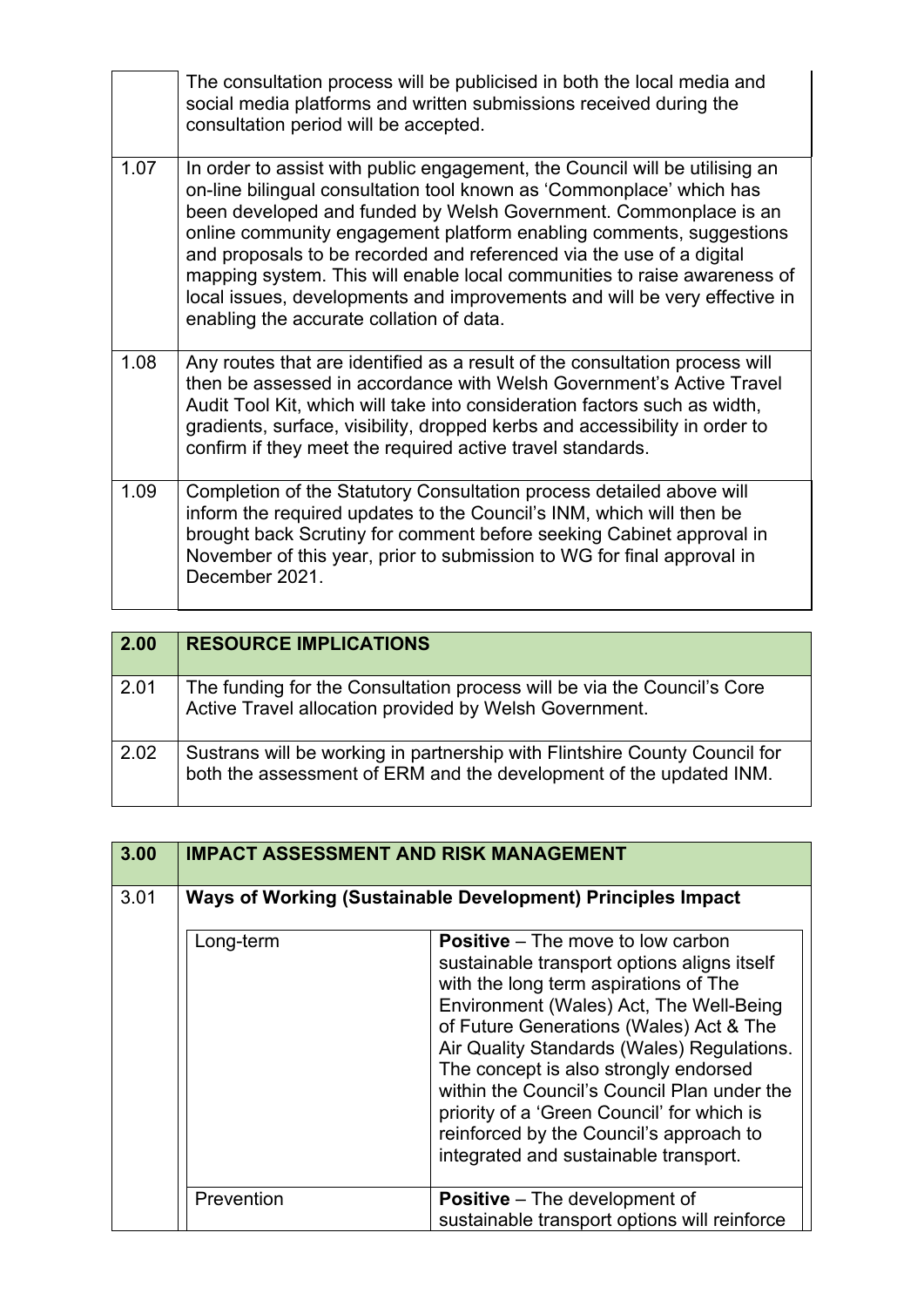|      | The consultation process will be publicised in both the local media and<br>social media platforms and written submissions received during the<br>consultation period will be accepted.                                                                                                                                                                                                                                                                                                                                                                                      |
|------|-----------------------------------------------------------------------------------------------------------------------------------------------------------------------------------------------------------------------------------------------------------------------------------------------------------------------------------------------------------------------------------------------------------------------------------------------------------------------------------------------------------------------------------------------------------------------------|
| 1.07 | In order to assist with public engagement, the Council will be utilising an<br>on-line bilingual consultation tool known as 'Commonplace' which has<br>been developed and funded by Welsh Government. Commonplace is an<br>online community engagement platform enabling comments, suggestions<br>and proposals to be recorded and referenced via the use of a digital<br>mapping system. This will enable local communities to raise awareness of<br>local issues, developments and improvements and will be very effective in<br>enabling the accurate collation of data. |
| 1.08 | Any routes that are identified as a result of the consultation process will<br>then be assessed in accordance with Welsh Government's Active Travel<br>Audit Tool Kit, which will take into consideration factors such as width,<br>gradients, surface, visibility, dropped kerbs and accessibility in order to<br>confirm if they meet the required active travel standards.                                                                                                                                                                                               |
| 1.09 | Completion of the Statutory Consultation process detailed above will<br>inform the required updates to the Council's INM, which will then be<br>brought back Scrutiny for comment before seeking Cabinet approval in<br>November of this year, prior to submission to WG for final approval in<br>December 2021.                                                                                                                                                                                                                                                            |

| 2.00 | <b>RESOURCE IMPLICATIONS</b>                                                                                                                     |
|------|--------------------------------------------------------------------------------------------------------------------------------------------------|
| 2.01 | The funding for the Consultation process will be via the Council's Core<br>Active Travel allocation provided by Welsh Government.                |
| 2.02 | Sustrans will be working in partnership with Flintshire County Council for<br>both the assessment of ERM and the development of the updated INM. |

| 3.00 |            | <b>IMPACT ASSESSMENT AND RISK MANAGEMENT</b>                                                                                                                                                                                                                                                                                                                                                                                                                                                   |
|------|------------|------------------------------------------------------------------------------------------------------------------------------------------------------------------------------------------------------------------------------------------------------------------------------------------------------------------------------------------------------------------------------------------------------------------------------------------------------------------------------------------------|
| 3.01 |            | Ways of Working (Sustainable Development) Principles Impact                                                                                                                                                                                                                                                                                                                                                                                                                                    |
|      | Long-term  | <b>Positive</b> – The move to low carbon<br>sustainable transport options aligns itself<br>with the long term aspirations of The<br>Environment (Wales) Act, The Well-Being<br>of Future Generations (Wales) Act & The<br>Air Quality Standards (Wales) Regulations.<br>The concept is also strongly endorsed<br>within the Council's Council Plan under the<br>priority of a 'Green Council' for which is<br>reinforced by the Council's approach to<br>integrated and sustainable transport. |
|      | Prevention | <b>Positive</b> – The development of<br>sustainable transport options will reinforce                                                                                                                                                                                                                                                                                                                                                                                                           |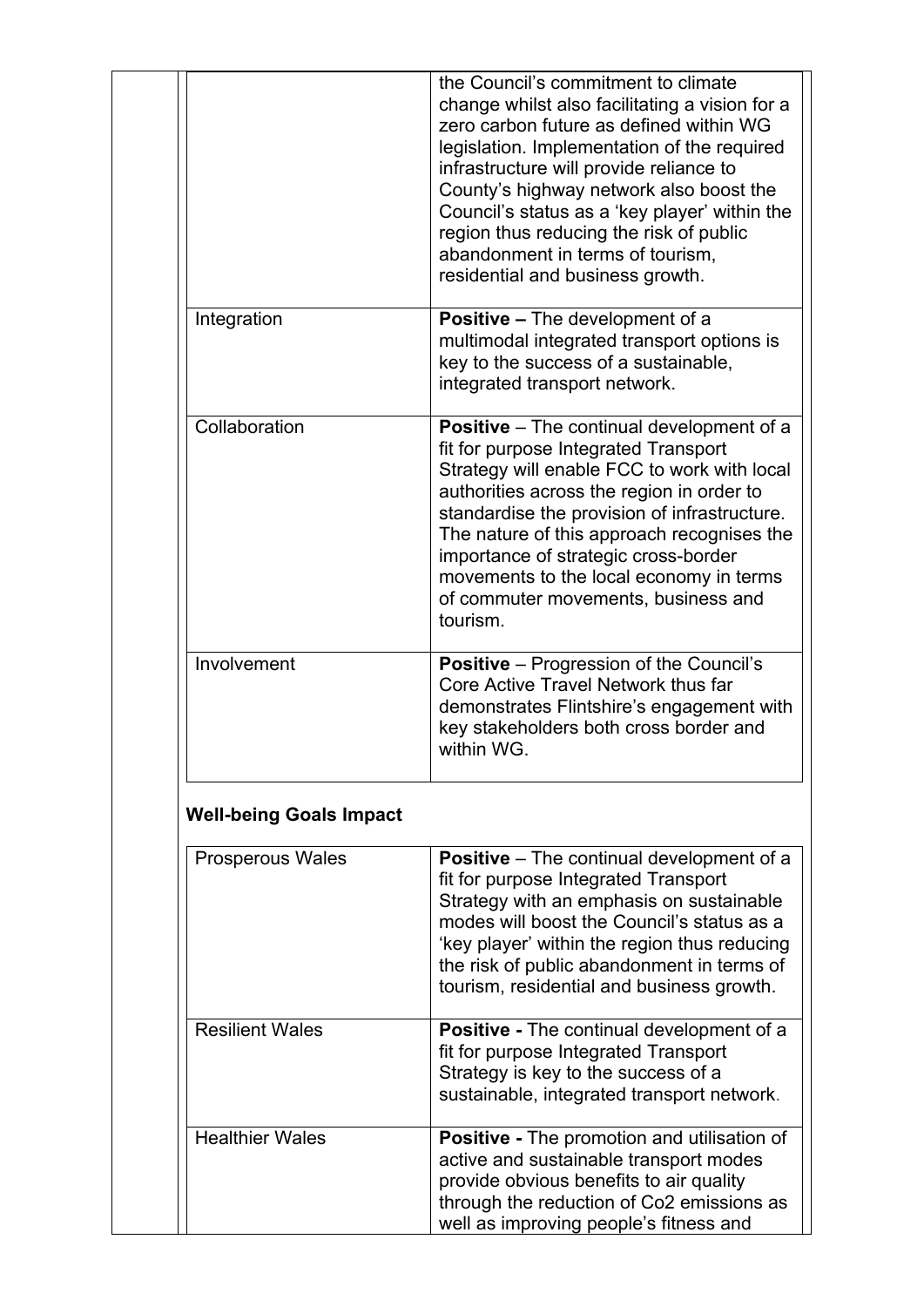|                                | the Council's commitment to climate<br>change whilst also facilitating a vision for a<br>zero carbon future as defined within WG<br>legislation. Implementation of the required<br>infrastructure will provide reliance to<br>County's highway network also boost the<br>Council's status as a 'key player' within the<br>region thus reducing the risk of public<br>abandonment in terms of tourism,<br>residential and business growth. |
|--------------------------------|-------------------------------------------------------------------------------------------------------------------------------------------------------------------------------------------------------------------------------------------------------------------------------------------------------------------------------------------------------------------------------------------------------------------------------------------|
| Integration                    | <b>Positive – The development of a</b><br>multimodal integrated transport options is<br>key to the success of a sustainable,<br>integrated transport network.                                                                                                                                                                                                                                                                             |
| Collaboration                  | <b>Positive</b> – The continual development of a<br>fit for purpose Integrated Transport<br>Strategy will enable FCC to work with local<br>authorities across the region in order to<br>standardise the provision of infrastructure.<br>The nature of this approach recognises the<br>importance of strategic cross-border<br>movements to the local economy in terms<br>of commuter movements, business and<br>tourism.                  |
| Involvement                    | <b>Positive</b> - Progression of the Council's<br>Core Active Travel Network thus far<br>demonstrates Flintshire's engagement with<br>key stakeholders both cross border and<br>within WG.                                                                                                                                                                                                                                                |
| <b>Well-being Goals Impact</b> |                                                                                                                                                                                                                                                                                                                                                                                                                                           |
| <b>Prosperous Wales</b>        | <b>Positive</b> – The continual development of a<br>fit for purpose Integrated Transport<br>Strategy with an emphasis on sustainable<br>modes will boost the Council's status as a<br>'key player' within the region thus reducing<br>the risk of public abandonment in terms of<br>tourism, residential and business growth.                                                                                                             |
| <b>Resilient Wales</b>         | Positive - The continual development of a<br>fit for purpose Integrated Transport<br>Strategy is key to the success of a<br>sustainable, integrated transport network.                                                                                                                                                                                                                                                                    |
| <b>Healthier Wales</b>         | <b>Positive - The promotion and utilisation of</b><br>active and sustainable transport modes<br>provide obvious benefits to air quality                                                                                                                                                                                                                                                                                                   |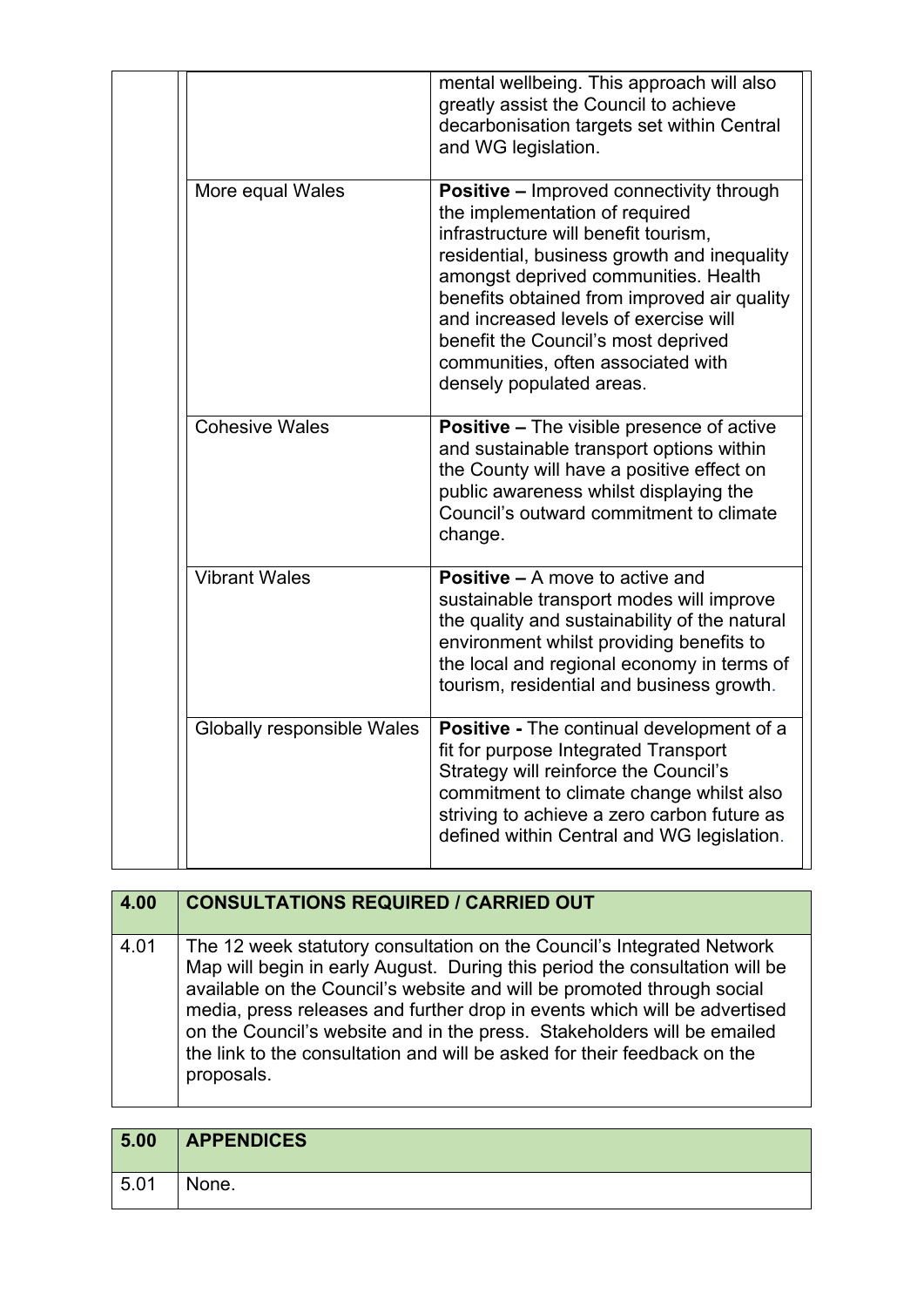|                            | mental wellbeing. This approach will also                                                                                                                                                                                                                                                                                                                                                                         |
|----------------------------|-------------------------------------------------------------------------------------------------------------------------------------------------------------------------------------------------------------------------------------------------------------------------------------------------------------------------------------------------------------------------------------------------------------------|
|                            | greatly assist the Council to achieve<br>decarbonisation targets set within Central<br>and WG legislation.                                                                                                                                                                                                                                                                                                        |
| More equal Wales           | <b>Positive - Improved connectivity through</b><br>the implementation of required<br>infrastructure will benefit tourism,<br>residential, business growth and inequality<br>amongst deprived communities. Health<br>benefits obtained from improved air quality<br>and increased levels of exercise will<br>benefit the Council's most deprived<br>communities, often associated with<br>densely populated areas. |
| <b>Cohesive Wales</b>      | <b>Positive - The visible presence of active</b><br>and sustainable transport options within<br>the County will have a positive effect on<br>public awareness whilst displaying the<br>Council's outward commitment to climate<br>change.                                                                                                                                                                         |
| <b>Vibrant Wales</b>       | <b>Positive – A move to active and</b><br>sustainable transport modes will improve<br>the quality and sustainability of the natural<br>environment whilst providing benefits to<br>the local and regional economy in terms of<br>tourism, residential and business growth.                                                                                                                                        |
| Globally responsible Wales | Positive - The continual development of a<br>fit for purpose Integrated Transport<br>Strategy will reinforce the Council's<br>commitment to climate change whilst also<br>striving to achieve a zero carbon future as<br>defined within Central and WG legislation.                                                                                                                                               |

| 4.00 | <b>CONSULTATIONS REQUIRED / CARRIED OUT</b>                                                                                                                                                                                                                                                                                                                                                                                                                                       |
|------|-----------------------------------------------------------------------------------------------------------------------------------------------------------------------------------------------------------------------------------------------------------------------------------------------------------------------------------------------------------------------------------------------------------------------------------------------------------------------------------|
| 4.01 | The 12 week statutory consultation on the Council's Integrated Network<br>Map will begin in early August. During this period the consultation will be<br>available on the Council's website and will be promoted through social<br>media, press releases and further drop in events which will be advertised<br>on the Council's website and in the press. Stakeholders will be emailed<br>the link to the consultation and will be asked for their feedback on the<br>proposals. |

| 5.00 | <b>APPENDICES</b> |
|------|-------------------|
| 5.01 | None.             |